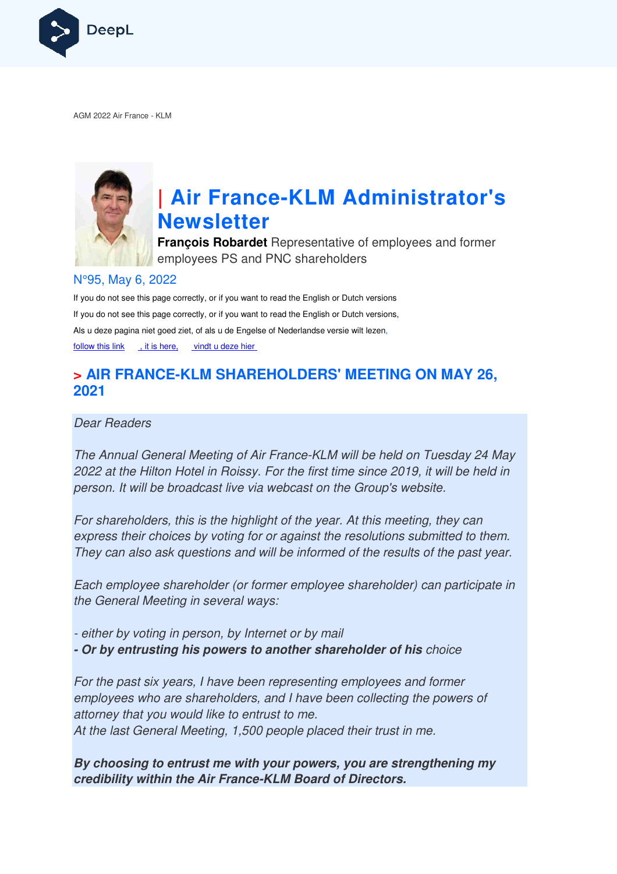

AGM 2022 Air France - KLM



# **| Air France-KLM Administrator's Newsletter**

**François Robardet** Representative of employees and former employees PS and PNC shareholders

## N°95, May 6, 2022

If you do not see this page correctly, or if you want to read the English or Dutch versions If you do not see this page correctly, or if you want to read the English or Dutch versions, Als u deze pagina niet goed ziet, of als u de Engelse of Nederlandse versie wilt lezen, follow this link , it is here, vindt u deze hier

## **> AIR FRANCE-KLM SHAREHOLDERS' MEETING ON MAY 26, KLM 2021**

Dear Readers

The Annual General Meeting of Air France-KLM will be held on Tuesday 24 May 2022 at the Hilton Hotel in Roissy. For the first time since 2019, it will be held in person. It will be broadcast live via webcast on the Group's website.

For shareholders, this is the highlight of the year. At this meeting, they can express their choices by voting for or against the resolutions submitted to them. They can also ask questions and will be informed of the results of the past year. France-KLM<br>For the first tir<br>webcast on the<br>the year<br>or against the<br>vill be informed<br>mer employee

Each employee shareholder (or former employee shareholder) can participate in the General Meeting in several ways:

- either by voting in person, by Internet or by mail

- Or by entrusting his powers to another shareholder of his choice

For the past six years, I have been representing employees and former employees who are shareholders, and I have been collecting the powers of attorney that you would like to entrust to me. At the last General Meeting, 1,500 people placed their trust in me.

**By choosing to entrust me with your powers, you are strengthening my credibility within the Air France France-KLM Board of Directors.**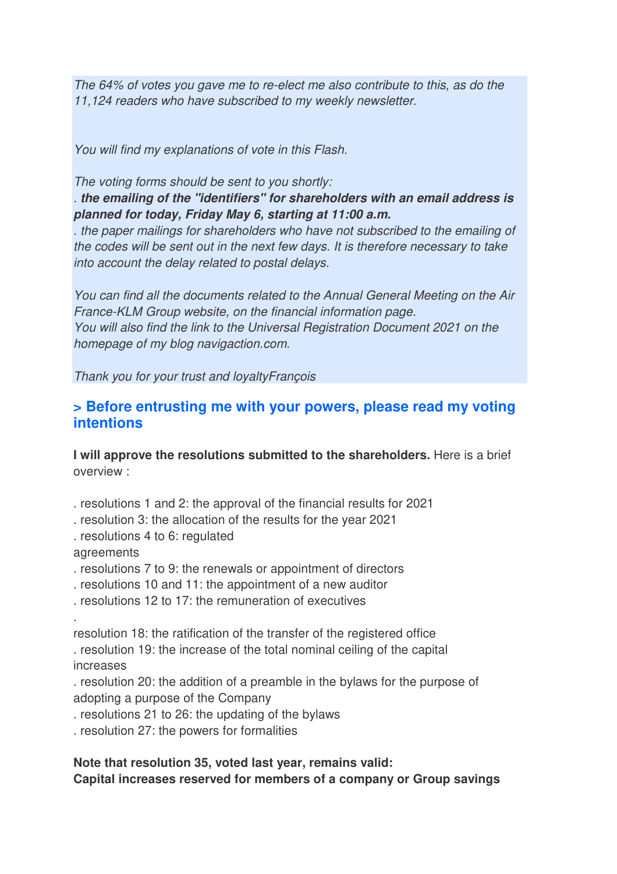The 64% of votes you gave me to re-elect me also contribute to this, as do the 11,124 readers who have subscribed to my weekly newsletter.

You will find my explanations of vote in this Flash.

The voting forms should be sent to you shortly:

. **the emailing of the "identifiers" for shareholders with an email address is planned for today, Friday May 6, starting at 11:00 a.m.**

. the paper mailings for shareholders who have not subscribed to the emailing of the codes will be sent out in the next few days. It is therefore necessary to take into account the delay related to postal delays.

You can find all the documents related to the Annual General Meeting on the Air France-KLM Group website, on the financial information page. You will also find the link to the Universal Registration Document 2021 on the homepage of my blog navigaction.com.

Thank you for your trust and loyaltyFrançois

## **> Before entrusting me with your powers, please read my voting intentions**

**I** will approve the resolutions submitted to the shareholders. Here is a brief overview :

- . resolutions 1 and 2: the approval of the financial results for 2021
- . resolution 3: the allocation of the results for the year 2021
- . resolutions 4 to 6: regulated

agreements

- . resolutions 7 to 9: the renewals or appointment of directors
- . resolutions 10 and 11: the appointment of a new auditor
- . resolutions 12 to 17: the remuneration of executives

.

resolution 18: the ratification of the transfer of the registered office

. resolution 19: the increase of the total nominal ceiling of the capital increases

. resolution 20: the addition of a preamble in the bylaws for the purpose of adopting a purpose of the Company

- . resolutions 21 to 26: the updating of the bylaws
- . resolution 27: the powers for formalities

## **Note that resolution 35, voted last year, remains valid: Capital increases reserved for members of a company or Group savings**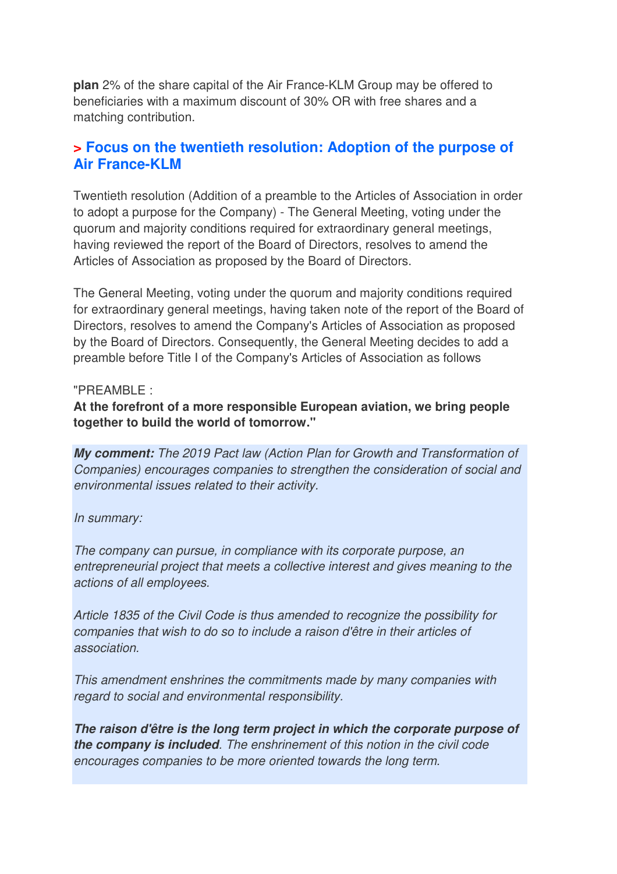**plan** 2% of the share capital of the Air France-KLM Group may be offered to beneficiaries with a maximum discount of 30% OR with free shares and a matching contribution.

## **> Focus on the twentieth resolution: Adoption of the purpose of Air France-KLM**

Twentieth resolution (Addition of a preamble to the Articles of Association in order to adopt a purpose for the Company) - The General Meeting, voting under the quorum and majority conditions required for extraordinary general meetings, having reviewed the report of the Board of Directors, resolves to amend the Articles of Association as proposed by the Board of Directors.

The General Meeting, voting under the quorum and majority conditions required for extraordinary general meetings, having taken note of the report of the Board of Directors, resolves to amend the Company's Articles of Association as proposed by the Board of Directors. Consequently, the General Meeting decides to add a preamble before Title I of the Company's Articles of Association as follows

## "PREAMBLE :

**At the forefront of a more responsible European aviation, we bring people together to build the world of tomorrow."**

**My comment:** The 2019 Pact law (Action Plan for Growth and Transformation of Companies) encourages companies to strengthen the consideration of social and environmental issues related to their activity.

## In summary:

The company can pursue, in compliance with its corporate purpose, an entrepreneurial project that meets a collective interest and gives meaning to the actions of all employees.

Article 1835 of the Civil Code is thus amended to recognize the possibility for companies that wish to do so to include a raison d'être in their articles of association.

This amendment enshrines the commitments made by many companies with regard to social and environmental responsibility.

**The raison d'être is the long term project in which the corporate purpose of the company is included**. The enshrinement of this notion in the civil code encourages companies to be more oriented towards the long term.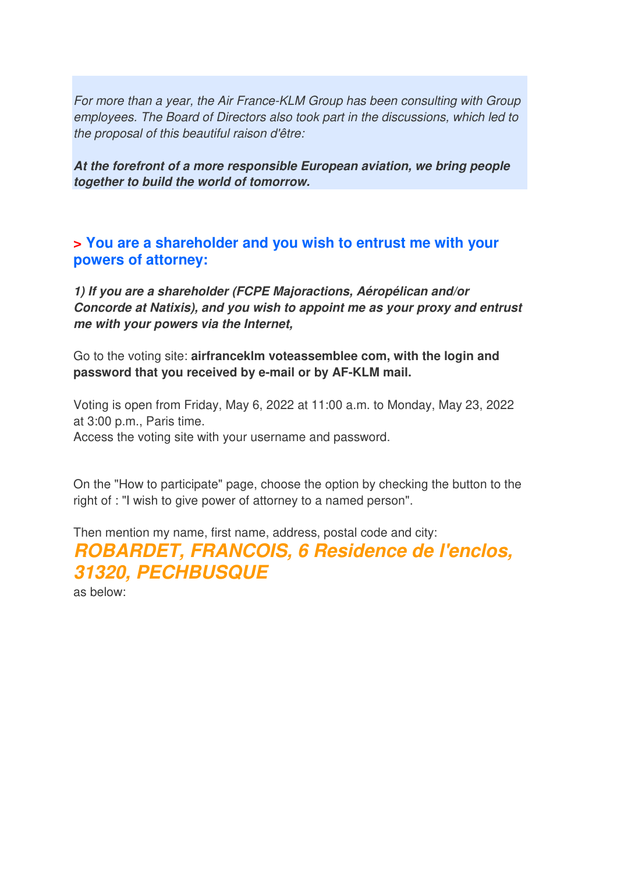For more than a year, the Air France-KLM Group has been consulting with Group employees. The Board of Directors also took part in the discussions, which led to the proposal of this beautiful raison d'être:

**At the forefront of a more responsible European aviation, we bring people together to build the world of tomorrow.** 

**> You are a shareholder and you wish to entrust me with your powers of attorney:**

**1) If you are a shareholder (FCPE Majoractions, Aéropélican and/or Concorde at Natixis), and you wish to appoint me as your proxy and entrust me with your powers via the Internet,** 

Go to the voting site: **airfranceklm voteassemblee com, with the login and password that you received by e-mail or by AF-KLM mail.**

Voting is open from Friday, May 6, 2022 at 11:00 a.m. to Monday, May 23, 2022 at 3:00 p.m., Paris time. Access the voting site with your username and password.

On the "How to participate" page, choose the option by checking the button to the right of : "I wish to give power of attorney to a named person".

Then mention my name, first name, address, postal code and city: **ROBARDET, FRANCOIS, 6 Residence de l'enclos, 31320, PECHBUSQUE**  as below: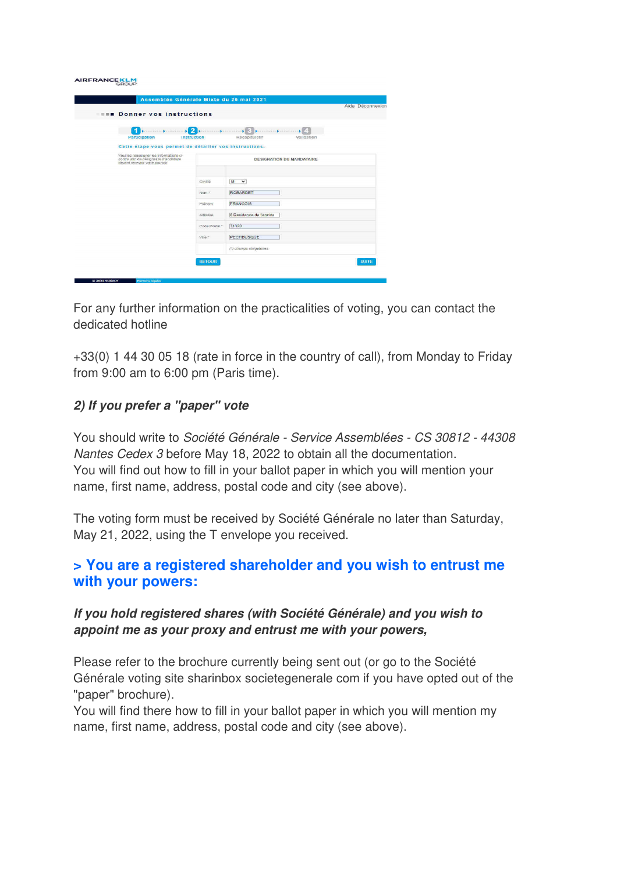#### **AIRFRANCEKLM**

| <b>EXAMPLE Donner vos instructions</b>                                  |               | Aide Déconnexion                              |
|-------------------------------------------------------------------------|---------------|-----------------------------------------------|
|                                                                         |               |                                               |
| $\cdots$ . $\blacksquare$<br>1                                          |               | processing successing S. processing coming 24 |
| <b>Participation</b>                                                    | Instruction   | Récapitulatif<br>Validation                   |
| Cette étape vous permet de détailler vos instructions.                  |               |                                               |
| Veuillez renseigner les informations ci-                                |               |                                               |
| contre afin de désigner le mandataire<br>devant recevoir votre pouvoir. |               | <b>DESIGNATION DU MANDATAIRE</b>              |
|                                                                         |               |                                               |
|                                                                         |               |                                               |
|                                                                         | Civilité      | M<br>$\overline{\phantom{a}}$                 |
|                                                                         | Nom."         | <b>ROBARDET</b>                               |
|                                                                         | <b>Prénom</b> | <b>FRANCOIS</b>                               |
|                                                                         |               |                                               |
|                                                                         | Adresse       | 6 Residence de l'enclos                       |
|                                                                         | Code Postal + | 31320                                         |
|                                                                         |               |                                               |
|                                                                         | Ville *       | <b>PECHBUSQUE</b>                             |
|                                                                         |               | (*) champs obligatoires                       |
|                                                                         |               |                                               |
|                                                                         | <b>RETOUR</b> | <b>SUITE</b>                                  |

For any further information on the practicalities of voting, you can contact the dedicated hotline

+33(0) 1 44 30 05 18 (rate in force in the country of call), from Monday to Friday from 9:00 am to 6:00 pm (Paris time).

### **2) If you prefer a "paper" vote**

You should write to Société Générale - Service Assemblées - CS 30812 - 44308 Nantes Cedex 3 before May 18, 2022 to obtain all the documentation. You will find out how to fill in your ballot paper in which you will mention your name, first name, address, postal code and city (see above).

The voting form must be received by Société Générale no later than Saturday, May 21, 2022, using the T envelope you received.

## **> You are a registered shareholder and you wish to entrust me with your powers:**

## **If you hold registered shares (with Société Générale) and you wish to appoint me as your proxy and entrust me with your powers,**

Please refer to the brochure currently being sent out (or go to the Société Générale voting site sharinbox societegenerale com if you have opted out of the "paper" brochure).

You will find there how to fill in your ballot paper in which you will mention my name, first name, address, postal code and city (see above).